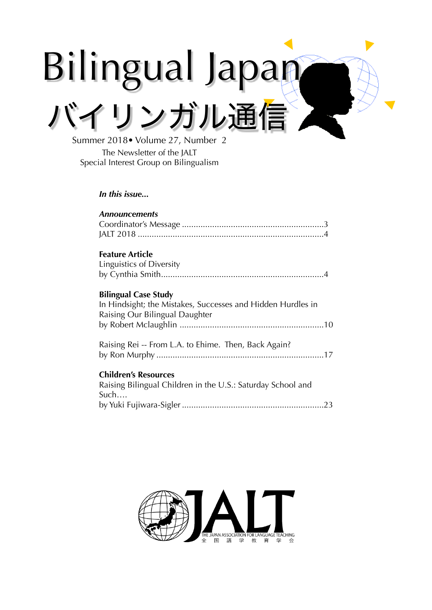# Bilingual Japan バイリンガル通信

Summer 2018• Volume 27, Number 2 The Newsletter of the JALT Special Interest Group on Bilingualism

## *In this issue...*

| <b>Announcements</b>                                        |
|-------------------------------------------------------------|
|                                                             |
|                                                             |
|                                                             |
| <b>Feature Article</b>                                      |
| Linguistics of Diversity                                    |
|                                                             |
|                                                             |
| <b>Bilingual Case Study</b>                                 |
| In Hindsight; the Mistakes, Successes and Hidden Hurdles in |
| Raising Our Bilingual Daughter                              |
|                                                             |
|                                                             |
| Raising Rei -- From L.A. to Ehime. Then, Back Again?        |
|                                                             |
| <b>Children's Resources</b>                                 |
| Raising Bilingual Children in the U.S.: Saturday School and |
| Such                                                        |
|                                                             |
|                                                             |

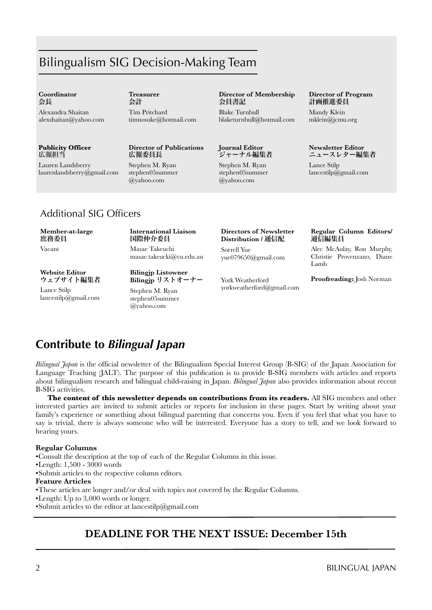# Bilingualism SIG Decision-Making Team

#### **Coordinator**  会長

Alexandra Shaitan alexshaitan@yahoo.com

## **Publicity Officer** 広報担当

Lauren Landsberry [laurenlandsberry@gmail.com](mailto:jayinhimeji@gmail.com)  **Treasurer**  会計

Tim Pritchard timnosuke@hotmail.com

## **Director of Publications** 広報委員長

Stephen M. Ryan stephen05summer @yahoo.com

## **Director of Membership** 会員書記

Blake Turnbull blaketurnbull@hotmail.com

## **Journal Editor** ジャーナル編集者

Stephen M. Ryan stephen05summer @yahoo.com

#### **Director of Program** 計画推進委員

Mandy Klein mklein@jcmu.org

#### **Newsletter Editor** ニュースレター編集者

Lance Stilp lancestilp@gmail.com

# Additional SIG Officers

#### **Member-at-large** 庶務委員

Vacant

## **International Liaison** 国際仲介委員 Masae Takeuchi

masae.takeucki@vu.edu.au

**Website Editor** ウェブサイト編集者 Lance Stilp

lancestilp@gmail.com

**Bilingjp** リストオーナー Stephen M. Ryan stephen05summer @yahoo.com

**Bilingjp Listowner**

#### **Directors of Newsletter Distribution /** 通信配

Sorrell Yue yue079650@gmail.com

York Weatherford yorkweatherford@gmail.com

## **Regular Column Editors/**  通信編集員

Alec McAulay, Ron Murphy, Christie Provenzano, Diane Lamb

## **Proofreading:** Josh Norman

# **Contribute to** *Bilingual Japan*

*Bilingual Japan* is the official newsletter of the Bilingualism Special Interest Group (B-SIG) of the Japan Association for Language Teaching (JALT). The purpose of this publication is to provide B-SIG members with articles and reports about bilingualism research and bilingual child-raising in Japan. *Bilingual Japan* also provides information about recent B-SIG activities.

**The content of this newsletter depends on contributions from its readers.** All SIG members and other interested parties are invited to submit articles or reports for inclusion in these pages. Start by writing about your family's experience or something about bilingual parenting that concerns you. Even if you feel that what you have to say is trivial, there is always someone who will be interested. Everyone has a story to tell, and we look forward to hearing yours.

## **Regular Columns**

•Consult the description at the top of each of the Regular Columns in this issue.

•Length: 1,500 - 3000 words

•Submit articles to the respective column editors.

## **Feature Articles**

•These articles are longer and/or deal with topics not covered by the Regular Columns.

- •Length: Up to 3,000 words or longer.
- •Submit articles to the editor at lancestilp@gmail.com

# **DEADLINE FOR THE NEXT ISSUE: December 15th**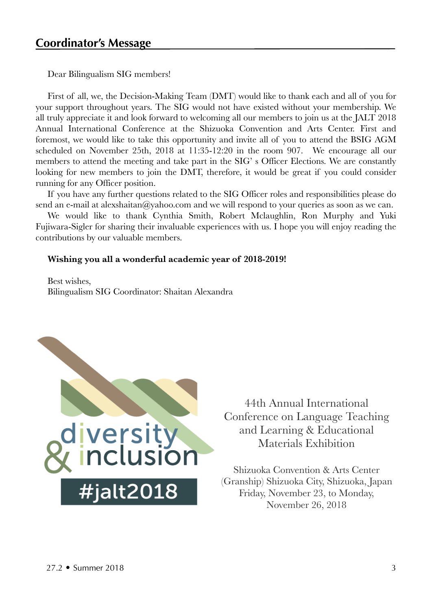Dear Bilingualism SIG members!

First of all, we, the Decision-Making Team (DMT) would like to thank each and all of you for your support throughout years. The SIG would not have existed without your membership. We all truly appreciate it and look forward to welcoming all our members to join us at the JALT 2018 Annual International Conference at the Shizuoka Convention and Arts Center. First and foremost, we would like to take this opportunity and invite all of you to attend the BSIG AGM scheduled on November 25th, 2018 at 11:35-12:20 in the room 907. We encourage all our members to attend the meeting and take part in the SIG' s Officer Elections. We are constantly looking for new members to join the DMT, therefore, it would be great if you could consider running for any Officer position.

If you have any further questions related to the SIG Officer roles and responsibilities please do send an e-mail at alexshaitan@yahoo.com and we will respond to your queries as soon as we can.

We would like to thank Cynthia Smith, Robert Mclaughlin, Ron Murphy and Yuki Fujiwara-Sigler for sharing their invaluable experiences with us. I hope you will enjoy reading the contributions by our valuable members.

## **Wishing you all a wonderful academic year of 2018-2019!**

Best wishes, Bilingualism SIG Coordinator: Shaitan Alexandra



44th Annual International Conference on Language Teaching and Learning & Educational Materials Exhibition

Shizuoka Convention & Arts Center (Granship) Shizuoka City, Shizuoka, Japan Friday, November 23, to Monday, November 26, 2018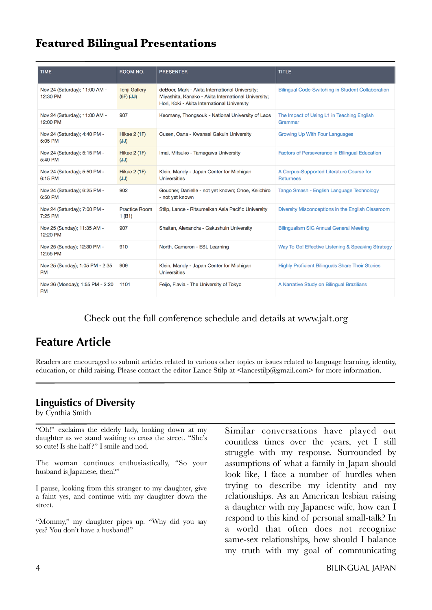# **Featured Bilingual Presentations**

| <b>TIME</b>                                  | ROOM NO.                              | <b>PRESENTER</b>                                                                                                                                     | <b>TITLE</b>                                                 |
|----------------------------------------------|---------------------------------------|------------------------------------------------------------------------------------------------------------------------------------------------------|--------------------------------------------------------------|
| Nov 24 (Saturday); 11:00 AM -<br>12:30 PM    | <b>Tenji Gallery</b><br>$(GF)$ $(JJ)$ | deBoer, Mark - Akita International University;<br>Miyashita, Kanako - Akita International University;<br>Hori, Koki - Akita International University | <b>Bilingual Code-Switching in Student Collaboration</b>     |
| Nov 24 (Saturday); 11:00 AM -<br>12:00 PM    | 907                                   | Keomany, Thongsouk - National University of Laos                                                                                                     | The Impact of Using L1 in Teaching English<br>Grammar        |
| Nov 24 (Saturday); 4:40 PM -<br>5:05 PM      | <b>Hikae 2 (1F)</b><br>(JJ)           | Cusen, Oana - Kwansei Gakuin University                                                                                                              | <b>Growing Up With Four Languages</b>                        |
| Nov 24 (Saturday); 5:15 PM -<br>5:40 PM      | <b>Hikae 2 (1F)</b><br>(JJ)           | Imai, Mitsuko - Tamagawa University                                                                                                                  | <b>Factors of Perseverance in Bilingual Education</b>        |
| Nov 24 (Saturday); 5:50 PM -<br>6:15 PM      | <b>Hikae 2 (1F)</b><br>(JJ)           | Klein, Mandy - Japan Center for Michigan<br><b>Universities</b>                                                                                      | A Corpus-Supported Literature Course for<br><b>Returnees</b> |
| Nov 24 (Saturday); 6:25 PM -<br>6:50 PM      | 902                                   | Goucher, Danielle - not yet known; Onoe, Keiichiro<br>- not yet known                                                                                | Tango Smash - English Language Technology                    |
| Nov 24 (Saturday); 7:00 PM -<br>7:25 PM      | <b>Practice Room</b><br>1(B1)         | Stilp, Lance - Ritsumeikan Asia Pacific University                                                                                                   | Diversity Misconceptions in the English Classroom            |
| Nov 25 (Sunday); 11:35 AM -<br>12:20 PM      | 907                                   | Shaitan, Alexandra - Gakushuin University                                                                                                            | <b>Bilingualism SIG Annual General Meeting</b>               |
| Nov 25 (Sunday); 12:30 PM -<br>12:55 PM      | 910                                   | North, Cameron - ESL Learning                                                                                                                        | Way To Go! Effective Listening & Speaking Strategy           |
| Nov 25 (Sunday); 1:05 PM - 2:35<br><b>PM</b> | 909                                   | Klein, Mandy - Japan Center for Michigan<br><b>Universities</b>                                                                                      | <b>Highly Proficient Bilinguals Share Their Stories</b>      |
| Nov 26 (Monday); 1:55 PM - 2:20<br><b>PM</b> | 1101                                  | Feijo, Flavia - The University of Tokyo                                                                                                              | A Narrative Study on Bilingual Brazilians                    |

# Check out the full conference schedule and details at www.jalt.org

# **Feature Article**

Readers are encouraged to submit articles related to various other topics or issues related to language learning, identity, education, or child raising. Please contact the editor Lance Stilp at <lancestilp@gmail.com> for more information.

# **Linguistics of Diversity**

by Cynthia Smith

"Oh!" exclaims the elderly lady, looking down at my daughter as we stand waiting to cross the street. "She's so cute! Is she half?" I smile and nod.

The woman continues enthusiastically, "So your husband is Japanese, then?"

I pause, looking from this stranger to my daughter, give a faint yes, and continue with my daughter down the street.

"Mommy," my daughter pipes up. "Why did you say yes? You don't have a husband!"

Similar conversations have played out countless times over the years, yet I still struggle with my response. Surrounded by assumptions of what a family in Japan should look like, I face a number of hurdles when trying to describe my identity and my relationships. As an American lesbian raising a daughter with my Japanese wife, how can I respond to this kind of personal small-talk? In a world that often does not recognize same-sex relationships, how should I balance my truth with my goal of communicating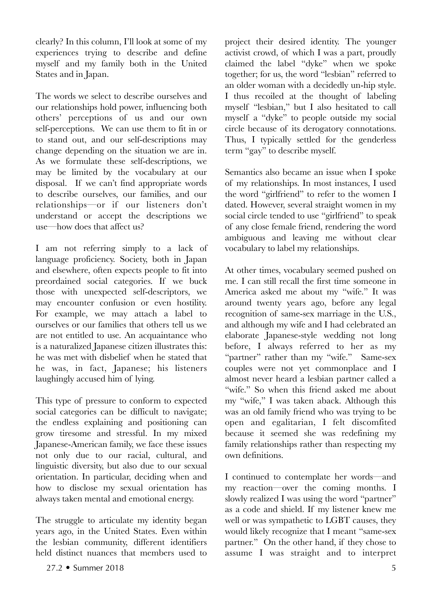clearly? In this column, I'll look at some of my experiences trying to describe and define myself and my family both in the United States and in Japan.

The words we select to describe ourselves and our relationships hold power, influencing both others' perceptions of us and our own self-perceptions. We can use them to fit in or to stand out, and our self-descriptions may change depending on the situation we are in. As we formulate these self-descriptions, we may be limited by the vocabulary at our disposal. If we can't find appropriate words to describe ourselves, our families, and our relationships—or if our listeners don't understand or accept the descriptions we use—how does that affect us?

I am not referring simply to a lack of language proficiency. Society, both in Japan and elsewhere, often expects people to fit into preordained social categories. If we buck those with unexpected self-descriptors, we may encounter confusion or even hostility. For example, we may attach a label to ourselves or our families that others tell us we are not entitled to use. An acquaintance who is a naturalized Japanese citizen illustrates this: he was met with disbelief when he stated that he was, in fact, Japanese; his listeners laughingly accused him of lying.

This type of pressure to conform to expected social categories can be difficult to navigate; the endless explaining and positioning can grow tiresome and stressful. In my mixed Japanese-American family, we face these issues not only due to our racial, cultural, and linguistic diversity, but also due to our sexual orientation. In particular, deciding when and how to disclose my sexual orientation has always taken mental and emotional energy.

The struggle to articulate my identity began years ago, in the United States. Even within the lesbian community, different identifiers held distinct nuances that members used to

project their desired identity. The younger activist crowd, of which I was a part, proudly claimed the label "dyke" when we spoke together; for us, the word "lesbian" referred to an older woman with a decidedly un-hip style. I thus recoiled at the thought of labeling myself "lesbian," but I also hesitated to call myself a "dyke" to people outside my social circle because of its derogatory connotations. Thus, I typically settled for the genderless term "gay" to describe myself.

Semantics also became an issue when I spoke of my relationships. In most instances, I used the word "girlfriend" to refer to the women I dated. However, several straight women in my social circle tended to use "girlfriend" to speak of any close female friend, rendering the word ambiguous and leaving me without clear vocabulary to label my relationships.

At other times, vocabulary seemed pushed on me. I can still recall the first time someone in America asked me about my "wife." It was around twenty years ago, before any legal recognition of same-sex marriage in the U.S., and although my wife and I had celebrated an elaborate Japanese-style wedding not long before, I always referred to her as my "partner" rather than my "wife." Same-sex couples were not yet commonplace and I almost never heard a lesbian partner called a "wife." So when this friend asked me about my "wife," I was taken aback. Although this was an old family friend who was trying to be open and egalitarian, I felt discomfited because it seemed she was redefining my family relationships rather than respecting my own definitions.

I continued to contemplate her words—and my reaction—over the coming months. I slowly realized I was using the word "partner" as a code and shield. If my listener knew me well or was sympathetic to LGBT causes, they would likely recognize that I meant "same-sex partner." On the other hand, if they chose to assume I was straight and to interpret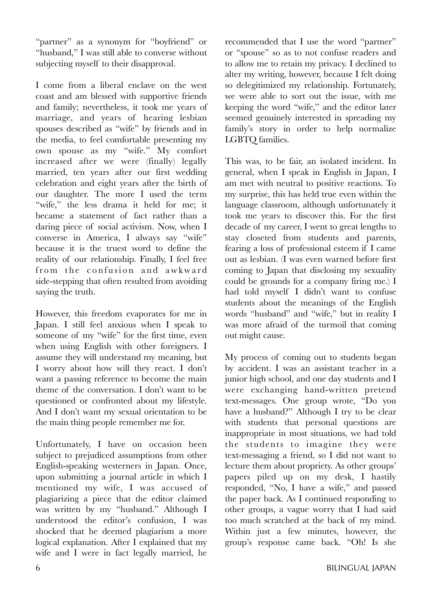"partner" as a synonym for "boyfriend" or "husband," I was still able to converse without subjecting myself to their disapproval.

I come from a liberal enclave on the west coast and am blessed with supportive friends and family; nevertheless, it took me years of marriage, and years of hearing lesbian spouses described as "wife" by friends and in the media, to feel comfortable presenting my own spouse as my "wife." My comfort increased after we were (finally) legally married, ten years after our first wedding celebration and eight years after the birth of our daughter. The more I used the term "wife," the less drama it held for me; it became a statement of fact rather than a daring piece of social activism. Now, when I converse in America, I always say "wife" because it is the truest word to define the reality of our relationship. Finally, I feel free from the confusion and awkward side-stepping that often resulted from avoiding saying the truth.

However, this freedom evaporates for me in Japan. I still feel anxious when I speak to someone of my "wife" for the first time, even when using English with other foreigners. I assume they will understand my meaning, but I worry about how will they react. I don't want a passing reference to become the main theme of the conversation. I don't want to be questioned or confronted about my lifestyle. And I don't want my sexual orientation to be the main thing people remember me for.

Unfortunately, I have on occasion been subject to prejudiced assumptions from other English-speaking westerners in Japan. Once, upon submitting a journal article in which I mentioned my wife, I was accused of plagiarizing a piece that the editor claimed was written by my "husband." Although I understood the editor's confusion, I was shocked that he deemed plagiarism a more logical explanation. After I explained that my wife and I were in fact legally married, he

recommended that I use the word "partner" or "spouse" so as to not confuse readers and to allow me to retain my privacy. I declined to alter my writing, however, because I felt doing so delegitimized my relationship. Fortunately, we were able to sort out the issue, with me keeping the word "wife," and the editor later seemed genuinely interested in spreading my family's story in order to help normalize LGBTQ families.

This was, to be fair, an isolated incident. In general, when I speak in English in Japan, I am met with neutral to positive reactions. To my surprise, this has held true even within the language classroom, although unfortunately it took me years to discover this. For the first decade of my career, I went to great lengths to stay closeted from students and parents, fearing a loss of professional esteem if I came out as lesbian. (I was even warned before first coming to Japan that disclosing my sexuality could be grounds for a company firing me.) I had told myself I didn't want to confuse students about the meanings of the English words "husband" and "wife," but in reality I was more afraid of the turmoil that coming out might cause.

My process of coming out to students began by accident. I was an assistant teacher in a junior high school, and one day students and I were exchanging hand-written pretend text-messages. One group wrote, "Do you have a husband?" Although I try to be clear with students that personal questions are inappropriate in most situations, we had told the students to imagine they were text-messaging a friend, so I did not want to lecture them about propriety. As other groups' papers piled up on my desk, I hastily responded, "No, I have a wife," and passed the paper back. As I continued responding to other groups, a vague worry that I had said too much scratched at the back of my mind. Within just a few minutes, however, the group's response came back. "Oh! Is she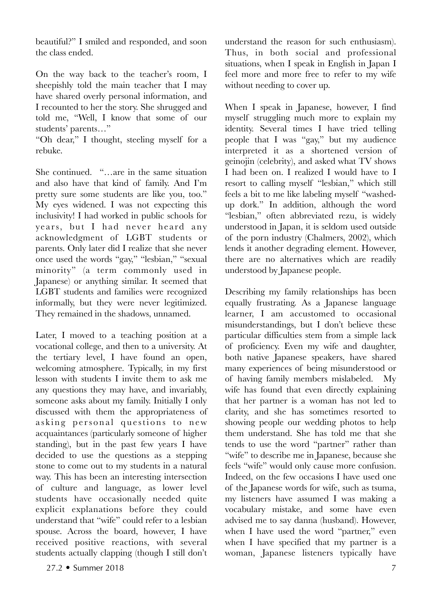beautiful?" I smiled and responded, and soon the class ended.

On the way back to the teacher's room, I sheepishly told the main teacher that I may have shared overly personal information, and I recounted to her the story. She shrugged and told me, "Well, I know that some of our students' parents…"

"Oh dear," I thought, steeling myself for a rebuke.

She continued. "…are in the same situation and also have that kind of family. And I'm pretty sure some students are like you, too." My eyes widened. I was not expecting this inclusivity! I had worked in public schools for years, but I had never heard any acknowledgment of LGBT students or parents. Only later did I realize that she never once used the words "gay," "lesbian," "sexual minority" (a term commonly used in Japanese) or anything similar. It seemed that LGBT students and families were recognized informally, but they were never legitimized. They remained in the shadows, unnamed.

Later, I moved to a teaching position at a vocational college, and then to a university. At the tertiary level, I have found an open, welcoming atmosphere. Typically, in my first lesson with students I invite them to ask me any questions they may have, and invariably, someone asks about my family. Initially I only discussed with them the appropriateness of asking personal questions to new acquaintances (particularly someone of higher standing), but in the past few years I have decided to use the questions as a stepping stone to come out to my students in a natural way. This has been an interesting intersection of culture and language, as lower level students have occasionally needed quite explicit explanations before they could understand that "wife" could refer to a lesbian spouse. Across the board, however, I have received positive reactions, with several students actually clapping (though I still don't

understand the reason for such enthusiasm). Thus, in both social and professional situations, when I speak in English in Japan I feel more and more free to refer to my wife without needing to cover up.

When I speak in Japanese, however, I find myself struggling much more to explain my identity. Several times I have tried telling people that I was "gay," but my audience interpreted it as a shortened version of geinojin (celebrity), and asked what TV shows I had been on. I realized I would have to I resort to calling myself "lesbian," which still feels a bit to me like labeling myself "washedup dork." In addition, although the word "lesbian," often abbreviated rezu, is widely understood in Japan, it is seldom used outside of the porn industry (Chalmers, 2002), which lends it another degrading element. However, there are no alternatives which are readily understood by Japanese people.

Describing my family relationships has been equally frustrating. As a Japanese language learner, I am accustomed to occasional misunderstandings, but I don't believe these particular difficulties stem from a simple lack of proficiency. Even my wife and daughter, both native Japanese speakers, have shared many experiences of being misunderstood or of having family members mislabeled. My wife has found that even directly explaining that her partner is a woman has not led to clarity, and she has sometimes resorted to showing people our wedding photos to help them understand. She has told me that she tends to use the word "partner" rather than "wife" to describe me in Japanese, because she feels "wife" would only cause more confusion. Indeed, on the few occasions I have used one of the Japanese words for wife, such as tsuma, my listeners have assumed I was making a vocabulary mistake, and some have even advised me to say danna (husband). However, when I have used the word "partner," even when I have specified that my partner is a woman, Japanese listeners typically have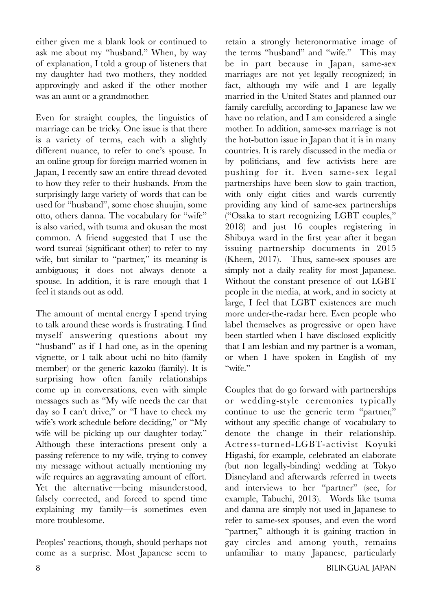either given me a blank look or continued to ask me about my "husband." When, by way of explanation, I told a group of listeners that my daughter had two mothers, they nodded approvingly and asked if the other mother was an aunt or a grandmother.

Even for straight couples, the linguistics of marriage can be tricky. One issue is that there is a variety of terms, each with a slightly different nuance, to refer to one's spouse. In an online group for foreign married women in Japan, I recently saw an entire thread devoted to how they refer to their husbands. From the surprisingly large variety of words that can be used for "husband", some chose shuujin, some otto, others danna. The vocabulary for "wife" is also varied, with tsuma and okusan the most common. A friend suggested that I use the word tsureai (significant other) to refer to my wife, but similar to "partner," its meaning is ambiguous; it does not always denote a spouse. In addition, it is rare enough that I feel it stands out as odd.

The amount of mental energy I spend trying to talk around these words is frustrating. I find myself answering questions about my "husband" as if I had one, as in the opening vignette, or I talk about uchi no hito (family member) or the generic kazoku (family). It is surprising how often family relationships come up in conversations, even with simple messages such as "My wife needs the car that day so I can't drive," or "I have to check my wife's work schedule before deciding," or "My wife will be picking up our daughter today." Although these interactions present only a passing reference to my wife, trying to convey my message without actually mentioning my wife requires an aggravating amount of effort. Yet the alternative—being misunderstood, falsely corrected, and forced to spend time explaining my family—is sometimes even more troublesome.

Peoples' reactions, though, should perhaps not come as a surprise. Most Japanese seem to

retain a strongly heteronormative image of the terms "husband" and "wife." This may be in part because in Japan, same-sex marriages are not yet legally recognized; in fact, although my wife and I are legally married in the United States and planned our family carefully, according to Japanese law we have no relation, and I am considered a single mother. In addition, same-sex marriage is not the hot-button issue in Japan that it is in many countries. It is rarely discussed in the media or by politicians, and few activists here are pushing for it. Even same-sex legal partnerships have been slow to gain traction, with only eight cities and wards currently providing any kind of same-sex partnerships ("Osaka to start recognizing LGBT couples," 2018) and just 16 couples registering in Shibuya ward in the first year after it began issuing partnership documents in 2015 (Kheen, 2017). Thus, same-sex spouses are simply not a daily reality for most Japanese. Without the constant presence of out LGBT people in the media, at work, and in society at large, I feel that LGBT existences are much more under-the-radar here. Even people who label themselves as progressive or open have been startled when I have disclosed explicitly that I am lesbian and my partner is a woman, or when I have spoken in English of my "wife."

Couples that do go forward with partnerships or wedding-style ceremonies typically continue to use the generic term "partner," without any specific change of vocabulary to denote the change in their relationship. Actress-turned-LGBT-activist Koyuki Higashi, for example, celebrated an elaborate (but non legally-binding) wedding at Tokyo Disneyland and afterwards referred in tweets and interviews to her "partner" (see, for example, Tabuchi, 2013). Words like tsuma and danna are simply not used in Japanese to refer to same-sex spouses, and even the word "partner," although it is gaining traction in gay circles and among youth, remains unfamiliar to many Japanese, particularly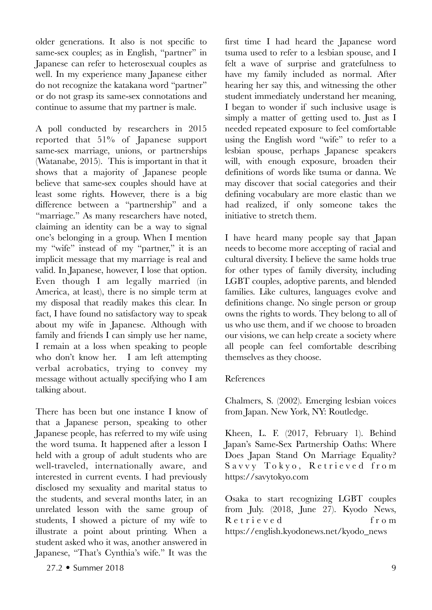older generations. It also is not specific to same-sex couples; as in English, "partner" in Japanese can refer to heterosexual couples as well. In my experience many Japanese either do not recognize the katakana word "partner" or do not grasp its same-sex connotations and continue to assume that my partner is male.

A poll conducted by researchers in 2015 reported that 51% of Japanese support same-sex marriage, unions, or partnerships (Watanabe, 2015). This is important in that it shows that a majority of Japanese people believe that same-sex couples should have at least some rights. However, there is a big difference between a "partnership" and a "marriage." As many researchers have noted, claiming an identity can be a way to signal one's belonging in a group. When I mention my "wife" instead of my "partner," it is an implicit message that my marriage is real and valid. In Japanese, however, I lose that option. Even though I am legally married (in America, at least), there is no simple term at my disposal that readily makes this clear. In fact, I have found no satisfactory way to speak about my wife in Japanese. Although with family and friends I can simply use her name, I remain at a loss when speaking to people who don't know her. I am left attempting verbal acrobatics, trying to convey my message without actually specifying who I am talking about.

There has been but one instance I know of that a Japanese person, speaking to other Japanese people, has referred to my wife using the word tsuma. It happened after a lesson I held with a group of adult students who are well-traveled, internationally aware, and interested in current events. I had previously disclosed my sexuality and marital status to the students, and several months later, in an unrelated lesson with the same group of students, I showed a picture of my wife to illustrate a point about printing. When a student asked who it was, another answered in Japanese, "That's Cynthia's wife." It was the

first time I had heard the Japanese word tsuma used to refer to a lesbian spouse, and I felt a wave of surprise and gratefulness to have my family included as normal. After hearing her say this, and witnessing the other student immediately understand her meaning, I began to wonder if such inclusive usage is simply a matter of getting used to. Just as I needed repeated exposure to feel comfortable using the English word "wife" to refer to a lesbian spouse, perhaps Japanese speakers will, with enough exposure, broaden their definitions of words like tsuma or danna. We may discover that social categories and their defining vocabulary are more elastic than we had realized, if only someone takes the initiative to stretch them.

I have heard many people say that Japan needs to become more accepting of racial and cultural diversity. I believe the same holds true for other types of family diversity, including LGBT couples, adoptive parents, and blended families. Like cultures, languages evolve and definitions change. No single person or group owns the rights to words. They belong to all of us who use them, and if we choose to broaden our visions, we can help create a society where all people can feel comfortable describing themselves as they choose.

# References

Chalmers, S. (2002). Emerging lesbian voices from Japan. New York, NY: Routledge.

Kheen, L. F. (2017, February 1). Behind Japan's Same-Sex Partnership Oaths: Where Does Japan Stand On Marriage Equality? Savvy Tokyo, Retrieved from https://savytokyo.com

Osaka to start recognizing LGBT couples from July. (2018, June 27). [Kyodo News,](https://english.kyodonews.net/kyodo_news) R e t r i e v e d f r o m https://english.kyodonews.net/kyodo\_news

27.2 • Summer 2018 9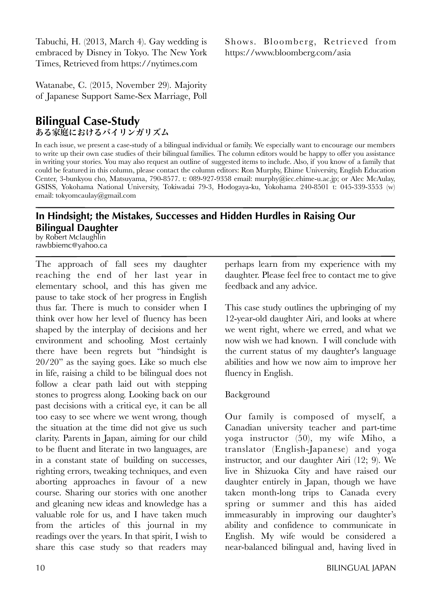Tabuchi, H. (2013, March 4). Gay wedding is embraced by Disney in Tokyo. The New York Times, Retrieved from https://nytimes.com

Watanabe, C. (2015, November 29). Majority of Japanese Support Same-Sex Marriage, Poll

# **Bilingual Case-Study** ある家庭におけるバイリンガリズム

In each issue, we present a case-study of a bilingual individual or family. We especially want to encourage our members to write up their own case studies of their bilingual families. The column editors would be happy to offer you assistance in writing your stories. You may also request an outline of suggested items to include. Also, if you know of a family that could be featured in this column, please contact the column editors: Ron Murphy, Ehime University, English Education Center, 3-bunkyou cho, Matsuyama, 790-8577. t: 089-927-9358 email: murphy@iec.ehime-u.ac.jp; or Alec McAulay, GSISS, Yokohama National University, Tokiwadai 79-3, Hodogaya-ku, Yokohama 240-8501 t: 045-339-3553 (w) email: tokyomcaulay@gmail.com

# **In Hindsight; the Mistakes, Successes and Hidden Hurdles in Raising Our Bilingual Daughter**

by Robert Mclaughlin rawbbiemc@yahoo.ca

The approach of fall sees my daughter reaching the end of her last year in elementary school, and this has given me pause to take stock of her progress in English thus far. There is much to consider when I think over how her level of fluency has been shaped by the interplay of decisions and her environment and schooling. Most certainly there have been regrets but "hindsight is 20/20" as the saying goes. Like so much else in life, raising a child to be bilingual does not follow a clear path laid out with stepping stones to progress along. Looking back on our past decisions with a critical eye, it can be all too easy to see where we went wrong, though the situation at the time did not give us such clarity. Parents in Japan, aiming for our child to be fluent and literate in two languages, are in a constant state of building on successes, righting errors, tweaking techniques, and even aborting approaches in favour of a new course. Sharing our stories with one another and gleaning new ideas and knowledge has a valuable role for us, and I have taken much from the articles of this journal in my readings over the years. In that spirit, I wish to share this case study so that readers may perhaps learn from my experience with my daughter. Please feel free to contact me to give feedback and any advice.

This case study outlines the upbringing of my 12-year-old daughter Airi, and looks at where we went right, where we erred, and what we now wish we had known. I will conclude with the current status of my daughter's language abilities and how we now aim to improve her fluency in English.

# Background

Our family is composed of myself, a Canadian university teacher and part-time yoga instructor (50), my wife Miho, a translator (English-Japanese) and yoga instructor, and our daughter Airi (12; 9). We live in Shizuoka City and have raised our daughter entirely in Japan, though we have taken month-long trips to Canada every spring or summer and this has aided immeasurably in improving our daughter's ability and confidence to communicate in English. My wife would be considered a near-balanced bilingual and, having lived in

Shows. Bloomberg, Retrieved from https://www.bloomberg.com/asia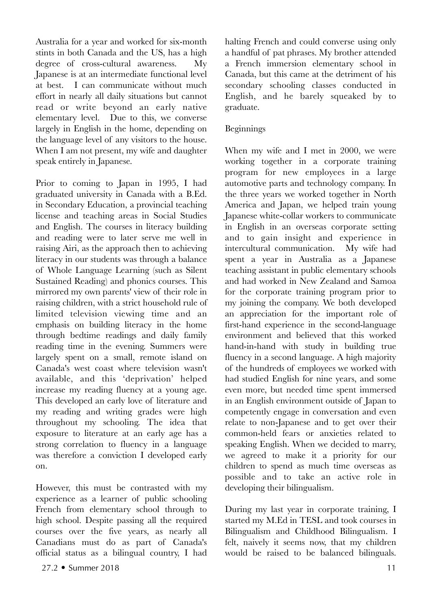Australia for a year and worked for six-month stints in both Canada and the US, has a high degree of cross-cultural awareness. My Japanese is at an intermediate functional level at best. I can communicate without much effort in nearly all daily situations but cannot read or write beyond an early native elementary level. Due to this, we converse largely in English in the home, depending on the language level of any visitors to the house. When I am not present, my wife and daughter speak entirely in Japanese.

Prior to coming to Japan in 1995, I had graduated university in Canada with a B.Ed. in Secondary Education, a provincial teaching license and teaching areas in Social Studies and English. The courses in literacy building and reading were to later serve me well in raising Airi, as the approach then to achieving literacy in our students was through a balance of Whole Language Learning (such as Silent Sustained Reading) and phonics courses. This mirrored my own parents' view of their role in raising children, with a strict household rule of limited television viewing time and an emphasis on building literacy in the home through bedtime readings and daily family reading time in the evening. Summers were largely spent on a small, remote island on Canada's west coast where television wasn't available, and this 'deprivation' helped increase my reading fluency at a young age. This developed an early love of literature and my reading and writing grades were high throughout my schooling. The idea that exposure to literature at an early age has a strong correlation to fluency in a language was therefore a conviction I developed early on.

However, this must be contrasted with my experience as a learner of public schooling French from elementary school through to high school. Despite passing all the required courses over the five years, as nearly all Canadians must do as part of Canada's official status as a bilingual country, I had

halting French and could converse using only a handful of pat phrases. My brother attended a French immersion elementary school in Canada, but this came at the detriment of his secondary schooling classes conducted in English, and he barely squeaked by to graduate.

# Beginnings

When my wife and I met in 2000, we were working together in a corporate training program for new employees in a large automotive parts and technology company. In the three years we worked together in North America and Japan, we helped train young Japanese white-collar workers to communicate in English in an overseas corporate setting and to gain insight and experience in intercultural communication. My wife had spent a year in Australia as a Japanese teaching assistant in public elementary schools and had worked in New Zealand and Samoa for the corporate training program prior to my joining the company. We both developed an appreciation for the important role of first-hand experience in the second-language environment and believed that this worked hand-in-hand with study in building true fluency in a second language. A high majority of the hundreds of employees we worked with had studied English for nine years, and some even more, but needed time spent immersed in an English environment outside of Japan to competently engage in conversation and even relate to non-Japanese and to get over their common-held fears or anxieties related to speaking English. When we decided to marry, we agreed to make it a priority for our children to spend as much time overseas as possible and to take an active role in developing their bilingualism.

During my last year in corporate training, I started my M.Ed in TESL and took courses in Bilingualism and Childhood Bilingualism. I felt, naively it seems now, that my children would be raised to be balanced bilinguals.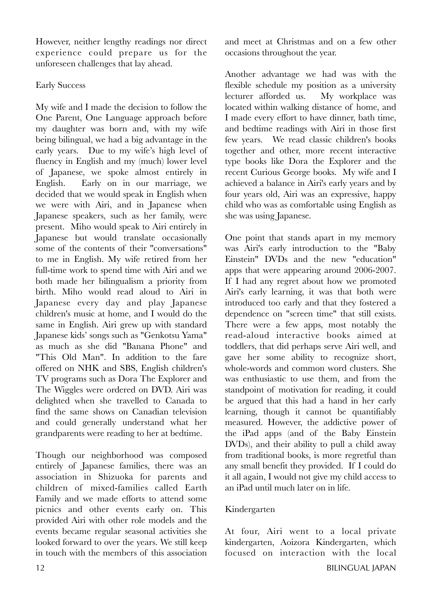However, neither lengthy readings nor direct experience could prepare us for the unforeseen challenges that lay ahead.

# Early Success

My wife and I made the decision to follow the One Parent, One Language approach before my daughter was born and, with my wife being bilingual, we had a big advantage in the early years. Due to my wife's high level of fluency in English and my (much) lower level of Japanese, we spoke almost entirely in English. Early on in our marriage, we decided that we would speak in English when we were with Airi, and in Japanese when Japanese speakers, such as her family, were present. Miho would speak to Airi entirely in Japanese but would translate occasionally some of the contents of their "conversations" to me in English. My wife retired from her full-time work to spend time with Airi and we both made her bilingualism a priority from birth. Miho would read aloud to Airi in Japanese every day and play Japanese children's music at home, and I would do the same in English. Airi grew up with standard Japanese kids' songs such as "Genkotsu Yama" as much as she did "Banana Phone" and "This Old Man". In addition to the fare offered on NHK and SBS, English children's TV programs such as Dora The Explorer and The Wiggles were ordered on DVD. Airi was delighted when she travelled to Canada to find the same shows on Canadian television and could generally understand what her grandparents were reading to her at bedtime.

Though our neighborhood was composed entirely of Japanese families, there was an association in Shizuoka for parents and children of mixed-families called Earth Family and we made efforts to attend some picnics and other events early on. This provided Airi with other role models and the events became regular seasonal activities she looked forward to over the years. We still keep in touch with the members of this association

and meet at Christmas and on a few other occasions throughout the year.

Another advantage we had was with the flexible schedule my position as a university lecturer afforded us. My workplace was located within walking distance of home, and I made every effort to have dinner, bath time, and bedtime readings with Airi in those first few years. We read classic children's books together and other, more recent interactive type books like Dora the Explorer and the recent Curious George books. My wife and I achieved a balance in Airi's early years and by four years old, Airi was an expressive, happy child who was as comfortable using English as she was using Japanese.

One point that stands apart in my memory was Airi's early introduction to the "Baby Einstein" DVDs and the new "education" apps that were appearing around 2006-2007. If I had any regret about how we promoted Airi's early learning, it was that both were introduced too early and that they fostered a dependence on "screen time" that still exists. There were a few apps, most notably the read-aloud interactive books aimed at toddlers, that did perhaps serve Airi well, and gave her some ability to recognize short, whole-words and common word clusters. She was enthusiastic to use them, and from the standpoint of motivation for reading, it could be argued that this had a hand in her early learning, though it cannot be quantifiably measured. However, the addictive power of the iPad apps (and of the Baby Einstein DVDs), and their ability to pull a child away from traditional books, is more regretful than any small benefit they provided. If I could do it all again, I would not give my child access to an iPad until much later on in life.

# Kindergarten

At four, Airi went to a local private kindergarten, Aoizora Kindergarten, which focused on interaction with the local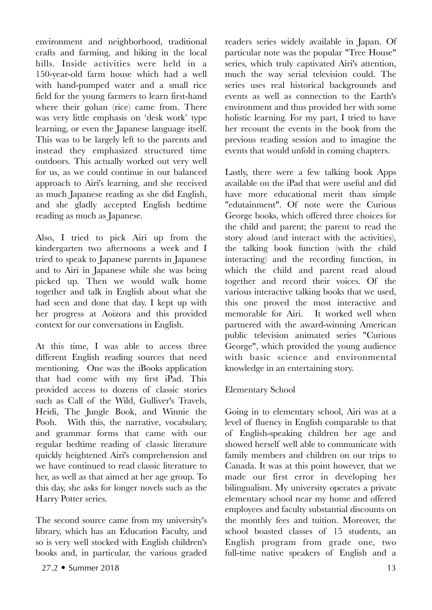environment and neighborhood, traditional crafts and farming, and hiking in the local hills. Inside activities were held in a 150-year-old farm house which had a well with hand-pumped water and a small rice field for the young farmers to learn first-hand where their gohan (rice) came from. There was very little emphasis on 'desk work' type learning, or even the Japanese language itself. This was to be largely left to the parents and instead they emphasized structured time outdoors. This actually worked out very well for us, as we could continue in our balanced approach to Airi's learning, and she received as much Japanese reading as she did English, and she gladly accepted English bedtime reading as much as Japanese.

Also, I tried to pick Airi up from the kindergarten two afternoons a week and I tried to speak to Japanese parents in Japanese and to Airi in Japanese while she was being picked up. Then we would walk home together and talk in English about what she had seen and done that day. I kept up with her progress at Aoizora and this provided context for our conversations in English.

At this time, I was able to access three different English reading sources that need mentioning. One was the iBooks application that had come with my first iPad. This provided access to dozens of classic stories such as Call of the Wild, Gulliver's Travels, Heidi, The Jungle Book, and Winnie the Pooh. With this, the narrative, vocabulary, and grammar forms that came with our regular bedtime reading of classic literature quickly heightened Airi's comprehension and we have continued to read classic literature to her, as well as that aimed at her age group. To this day, she asks for longer novels such as the Harry Potter series.

The second source came from my university's library, which has an Education Faculty, and so is very well stocked with English children's books and, in particular, the various graded

 $27.2 \cdot \text{Summer } 2018$  13

readers series widely available in Japan. Of particular note was the popular "Tree House" series, which truly captivated Airi's attention, much the way serial television could. The series uses real historical backgrounds and events as well as connection to the Earth's environment and thus provided her with some holistic learning. For my part, I tried to have her recount the events in the book from the previous reading session and to imagine the events that would unfold in coming chapters.

Lastly, there were a few talking book Apps available on the iPad that were useful and did have more educational merit than simple "edutainment". Of note were the Curious George books, which offered three choices for the child and parent; the parent to read the story aloud (and interact with the activities), the talking book function (with the child interacting) and the recording function, in which the child and parent read aloud together and record their voices. Of the various interactive talking books that we used, this one proved the most interactive and memorable for Airi. It worked well when partnered with the award-winning American public television animated series "Curious George", which provided the young audience with basic science and environmental knowledge in an entertaining story.

# Elementary School

Going in to elementary school, Airi was at a level of fluency in English comparable to that of English-speaking children her age and showed herself well able to communicate with family members and children on our trips to Canada. It was at this point however, that we made our first error in developing her bilingualism. My university operates a private elementary school near my home and offered employees and faculty substantial discounts on the monthly fees and tuition. Moreover, the school boasted classes of 15 students, an English program from grade one, two full-time native speakers of English and a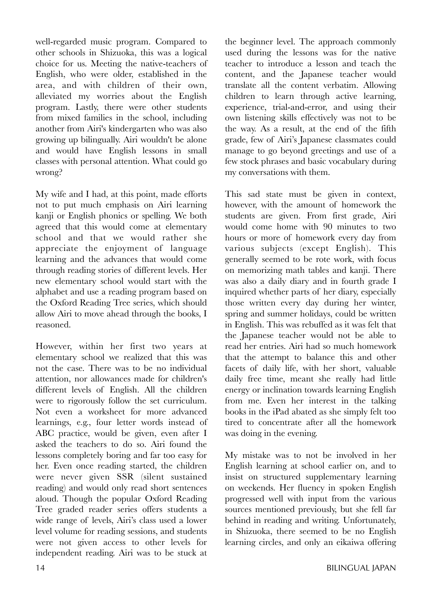well-regarded music program. Compared to other schools in Shizuoka, this was a logical choice for us. Meeting the native-teachers of English, who were older, established in the area, and with children of their own, alleviated my worries about the English program. Lastly, there were other students from mixed families in the school, including another from Airi's kindergarten who was also growing up bilingually. Airi wouldn't be alone and would have English lessons in small classes with personal attention. What could go wrong?

My wife and I had, at this point, made efforts not to put much emphasis on Airi learning kanji or English phonics or spelling. We both agreed that this would come at elementary school and that we would rather she appreciate the enjoyment of language learning and the advances that would come through reading stories of different levels. Her new elementary school would start with the alphabet and use a reading program based on the Oxford Reading Tree series, which should allow Airi to move ahead through the books, I reasoned.

However, within her first two years at elementary school we realized that this was not the case. There was to be no individual attention, nor allowances made for children's different levels of English. All the children were to rigorously follow the set curriculum. Not even a worksheet for more advanced learnings, e.g., four letter words instead of ABC practice, would be given, even after I asked the teachers to do so. Airi found the lessons completely boring and far too easy for her. Even once reading started, the children were never given SSR (silent sustained reading) and would only read short sentences aloud. Though the popular Oxford Reading Tree graded reader series offers students a wide range of levels, Airi's class used a lower level volume for reading sessions, and students were not given access to other levels for independent reading. Airi was to be stuck at

the beginner level. The approach commonly used during the lessons was for the native teacher to introduce a lesson and teach the content, and the Japanese teacher would translate all the content verbatim. Allowing children to learn through active learning, experience, trial-and-error, and using their own listening skills effectively was not to be the way. As a result, at the end of the fifth grade, few of Airi's Japanese classmates could manage to go beyond greetings and use of a few stock phrases and basic vocabulary during my conversations with them.

This sad state must be given in context, however, with the amount of homework the students are given. From first grade, Airi would come home with 90 minutes to two hours or more of homework every day from various subjects (except English). This generally seemed to be rote work, with focus on memorizing math tables and kanji. There was also a daily diary and in fourth grade I inquired whether parts of her diary, especially those written every day during her winter, spring and summer holidays, could be written in English. This was rebuffed as it was felt that the Japanese teacher would not be able to read her entries. Airi had so much homework that the attempt to balance this and other facets of daily life, with her short, valuable daily free time, meant she really had little energy or inclination towards learning English from me. Even her interest in the talking books in the iPad abated as she simply felt too tired to concentrate after all the homework was doing in the evening.

My mistake was to not be involved in her English learning at school earlier on, and to insist on structured supplementary learning on weekends. Her fluency in spoken English progressed well with input from the various sources mentioned previously, but she fell far behind in reading and writing. Unfortunately, in Shizuoka, there seemed to be no English learning circles, and only an eikaiwa offering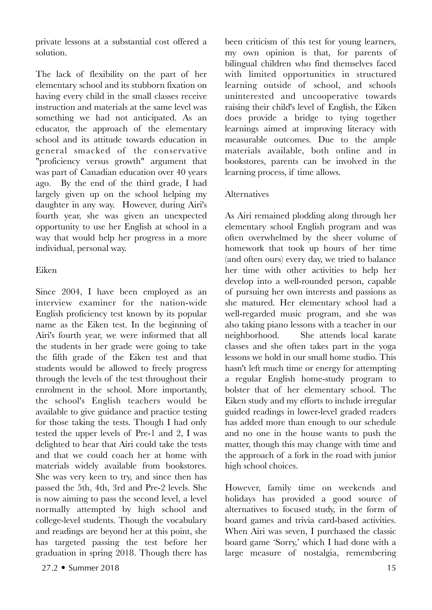private lessons at a substantial cost offered a solution.

The lack of flexibility on the part of her elementary school and its stubborn fixation on having every child in the small classes receive instruction and materials at the same level was something we had not anticipated. As an educator, the approach of the elementary school and its attitude towards education in general smacked of the conservative "proficiency versus growth" argument that was part of Canadian education over 40 years ago. By the end of the third grade, I had largely given up on the school helping my daughter in any way. However, during Airi's fourth year, she was given an unexpected opportunity to use her English at school in a way that would help her progress in a more individual, personal way.

## Eiken

Since 2004, I have been employed as an interview examiner for the nation-wide English proficiency test known by its popular name as the Eiken test. In the beginning of Airi's fourth year, we were informed that all the students in her grade were going to take the fifth grade of the Eiken test and that students would be allowed to freely progress through the levels of the test throughout their enrolment in the school. More importantly, the school's English teachers would be available to give guidance and practice testing for those taking the tests. Though I had only tested the upper levels of Pre-1 and 2, I was delighted to hear that Airi could take the tests and that we could coach her at home with materials widely available from bookstores. She was very keen to try, and since then has passed the 5th, 4th, 3rd and Pre-2 levels. She is now aiming to pass the second level, a level normally attempted by high school and college-level students. Though the vocabulary and readings are beyond her at this point, she has targeted passing the test before her graduation in spring 2018. Though there has

also taking piano lessons with a teacher in our neighborhood. She attends local karate classes and she often takes part in the yoga lessons we hold in our small home studio. This

hasn't left much time or energy for attempting a regular English home-study program to bolster that of her elementary school. The Eiken study and my efforts to include irregular guided readings in lower-level graded readers has added more than enough to our schedule and no one in the house wants to push the matter, though this may change with time and the approach of a fork in the road with junior high school choices.

been criticism of this test for young learners, my own opinion is that, for parents of bilingual children who find themselves faced with limited opportunities in structured learning outside of school, and schools uninterested and uncooperative towards raising their child's level of English, the Eiken does provide a bridge to tying together learnings aimed at improving literacy with measurable outcomes. Due to the ample materials available, both online and in bookstores, parents can be involved in the

As Airi remained plodding along through her elementary school English program and was often overwhelmed by the sheer volume of homework that took up hours of her time (and often ours) every day, we tried to balance her time with other activities to help her develop into a well-rounded person, capable of pursuing her own interests and passions as she matured. Her elementary school had a well-regarded music program, and she was

learning process, if time allows.

Alternatives

However, family time on weekends and holidays has provided a good source of alternatives to focused study, in the form of board games and trivia card-based activities. When Airi was seven, I purchased the classic board game 'Sorry,' which I had done with a large measure of nostalgia, remembering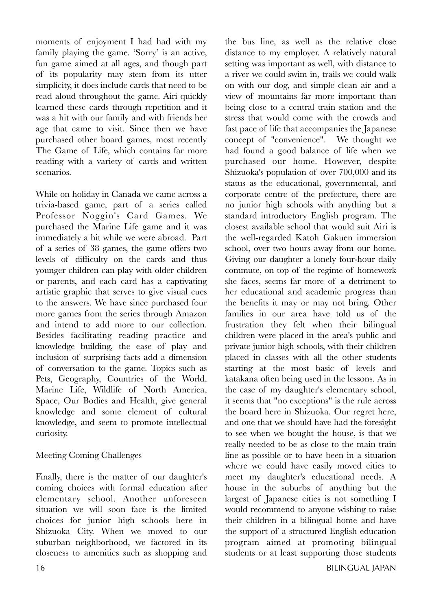moments of enjoyment I had had with my family playing the game. 'Sorry' is an active, fun game aimed at all ages, and though part of its popularity may stem from its utter simplicity, it does include cards that need to be read aloud throughout the game. Airi quickly learned these cards through repetition and it was a hit with our family and with friends her age that came to visit. Since then we have purchased other board games, most recently The Game of Life, which contains far more reading with a variety of cards and written scenarios.

While on holiday in Canada we came across a trivia-based game, part of a series called Professor Noggin's Card Games. We purchased the Marine Life game and it was immediately a hit while we were abroad. Part of a series of 38 games, the game offers two levels of difficulty on the cards and thus younger children can play with older children or parents, and each card has a captivating artistic graphic that serves to give visual cues to the answers. We have since purchased four more games from the series through Amazon and intend to add more to our collection. Besides facilitating reading practice and knowledge building, the ease of play and inclusion of surprising facts add a dimension of conversation to the game. Topics such as Pets, Geography, Countries of the World, Marine Life, Wildlife of North America, Space, Our Bodies and Health, give general knowledge and some element of cultural knowledge, and seem to promote intellectual curiosity.

# Meeting Coming Challenges

Finally, there is the matter of our daughter's coming choices with formal education after elementary school. Another unforeseen situation we will soon face is the limited choices for junior high schools here in Shizuoka City. When we moved to our suburban neighborhood, we factored in its closeness to amenities such as shopping and

the bus line, as well as the relative close distance to my employer. A relatively natural setting was important as well, with distance to a river we could swim in, trails we could walk on with our dog, and simple clean air and a view of mountains far more important than being close to a central train station and the stress that would come with the crowds and fast pace of life that accompanies the Japanese concept of "convenience". We thought we had found a good balance of life when we purchased our home. However, despite Shizuoka's population of over 700,000 and its status as the educational, governmental, and corporate centre of the prefecture, there are no junior high schools with anything but a standard introductory English program. The closest available school that would suit Airi is the well-regarded Katoh Gakuen immersion school, over two hours away from our home. Giving our daughter a lonely four-hour daily commute, on top of the regime of homework she faces, seems far more of a detriment to her educational and academic progress than the benefits it may or may not bring. Other families in our area have told us of the frustration they felt when their bilingual children were placed in the area's public and private junior high schools, with their children placed in classes with all the other students starting at the most basic of levels and katakana often being used in the lessons. As in the case of my daughter's elementary school, it seems that "no exceptions" is the rule across the board here in Shizuoka. Our regret here, and one that we should have had the foresight to see when we bought the house, is that we really needed to be as close to the main train line as possible or to have been in a situation where we could have easily moved cities to meet my daughter's educational needs. A house in the suburbs of anything but the largest of Japanese cities is not something I would recommend to anyone wishing to raise their children in a bilingual home and have the support of a structured English education program aimed at promoting bilingual students or at least supporting those students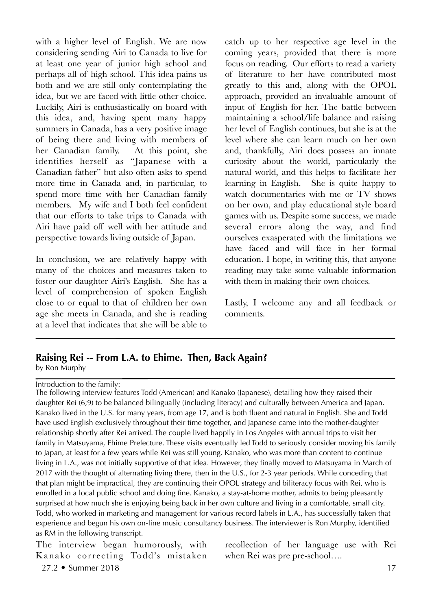with a higher level of English. We are now considering sending Airi to Canada to live for at least one year of junior high school and perhaps all of high school. This idea pains us both and we are still only contemplating the idea, but we are faced with little other choice. Luckily, Airi is enthusiastically on board with this idea, and, having spent many happy summers in Canada, has a very positive image of being there and living with members of her Canadian family. At this point, she identifies herself as "Japanese with a Canadian father" but also often asks to spend more time in Canada and, in particular, to spend more time with her Canadian family members. My wife and I both feel confident that our efforts to take trips to Canada with Airi have paid off well with her attitude and perspective towards living outside of Japan.

In conclusion, we are relatively happy with many of the choices and measures taken to foster our daughter Airi's English. She has a level of comprehension of spoken English close to or equal to that of children her own age she meets in Canada, and she is reading at a level that indicates that she will be able to

catch up to her respective age level in the coming years, provided that there is more focus on reading. Our efforts to read a variety of literature to her have contributed most greatly to this and, along with the OPOL approach, provided an invaluable amount of input of English for her. The battle between maintaining a school/life balance and raising her level of English continues, but she is at the level where she can learn much on her own and, thankfully, Airi does possess an innate curiosity about the world, particularly the natural world, and this helps to facilitate her learning in English. She is quite happy to watch documentaries with me or TV shows on her own, and play educational style board games with us. Despite some success, we made several errors along the way, and find ourselves exasperated with the limitations we have faced and will face in her formal education. I hope, in writing this, that anyone reading may take some valuable information with them in making their own choices.

Lastly, I welcome any and all feedback or comments.

# **Raising Rei -- From L.A. to Ehime. Then, Back Again?**

by Ron Murphy

Introduction to the family:

The following interview features Todd (American) and Kanako (Japanese), detailing how they raised their daughter Rei (6;9) to be balanced bilingually (including literacy) and culturally between America and Japan. Kanako lived in the U.S. for many years, from age 17, and is both fluent and natural in English. She and Todd have used English exclusively throughout their time together, and Japanese came into the mother-daughter relationship shortly after Rei arrived. The couple lived happily in Los Angeles with annual trips to visit her family in Matsuyama, Ehime Prefecture. These visits eventually led Todd to seriously consider moving his family to Japan, at least for a few years while Rei was still young. Kanako, who was more than content to continue living in L.A., was not initially supportive of that idea. However, they finally moved to Matsuyama in March of 2017 with the thought of alternating living there, then in the U.S., for 2-3 year periods. While conceding that that plan might be impractical, they are continuing their OPOL strategy and biliteracy focus with Rei, who is enrolled in a local public school and doing fine. Kanako, a stay-at-home mother, admits to being pleasantly surprised at how much she is enjoying being back in her own culture and living in a comfortable, small city. Todd, who worked in marketing and management for various record labels in L.A., has successfully taken that experience and begun his own on-line music consultancy business. The interviewer is Ron Murphy, identified as RM in the following transcript.

The interview began humorously, with Kanako correcting Todd's mistaken 27.2 • Summer 2018 17

recollection of her language use with Rei when Rei was pre pre-school….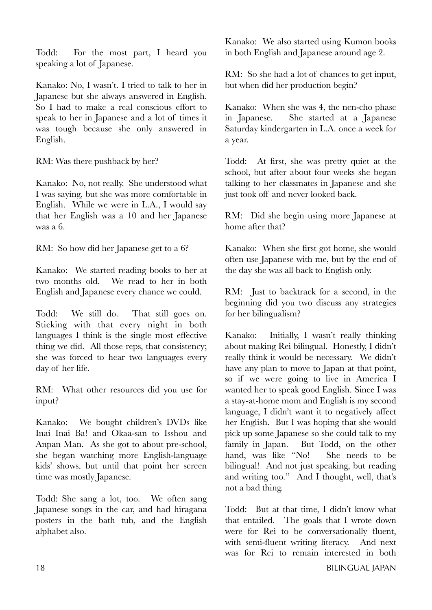Todd: For the most part, I heard you speaking a lot of Japanese.

Kanako: No, I wasn't. I tried to talk to her in Japanese but she always answered in English. So I had to make a real conscious effort to speak to her in Japanese and a lot of times it was tough because she only answered in English.

RM: Was there pushback by her?

Kanako: No, not really. She understood what I was saying, but she was more comfortable in English. While we were in L.A., I would say that her English was a 10 and her Japanese was a 6.

RM: So how did her Japanese get to a 6?

Kanako: We started reading books to her at two months old. We read to her in both English and Japanese every chance we could.

Todd: We still do. That still goes on. Sticking with that every night in both languages I think is the single most effective thing we did. All those reps, that consistency; she was forced to hear two languages every day of her life.

RM: What other resources did you use for input?

Kanako: We bought children's DVDs like Inai Inai Ba! and Okaa-san to Isshou and Anpan Man. As she got to about pre-school, she began watching more English-language kids' shows, but until that point her screen time was mostly Japanese.

Todd: She sang a lot, too. We often sang Japanese songs in the car, and had hiragana posters in the bath tub, and the English alphabet also.

Kanako: We also started using Kumon books in both English and Japanese around age 2.

RM: So she had a lot of chances to get input, but when did her production begin?

Kanako: When she was 4, the nen-cho phase in Japanese. She started at a Japanese Saturday kindergarten in L.A. once a week for a year.

Todd: At first, she was pretty quiet at the school, but after about four weeks she began talking to her classmates in Japanese and she just took off and never looked back.

RM: Did she begin using more Japanese at home after that?

Kanako: When she first got home, she would often use Japanese with me, but by the end of the day she was all back to English only.

RM: Just to backtrack for a second, in the beginning did you two discuss any strategies for her bilingualism?

Kanako: Initially, I wasn't really thinking about making Rei bilingual. Honestly, I didn't really think it would be necessary. We didn't have any plan to move to Japan at that point, so if we were going to live in America I wanted her to speak good English. Since I was a stay-at-home mom and English is my second language, I didn't want it to negatively affect her English. But I was hoping that she would pick up some Japanese so she could talk to my family in Japan. But Todd, on the other hand, was like "No! She needs to be bilingual! And not just speaking, but reading and writing too." And I thought, well, that's not a bad thing.

Todd: But at that time, I didn't know what that entailed. The goals that I wrote down were for Rei to be conversationally fluent, with semi-fluent writing literacy. And next was for Rei to remain interested in both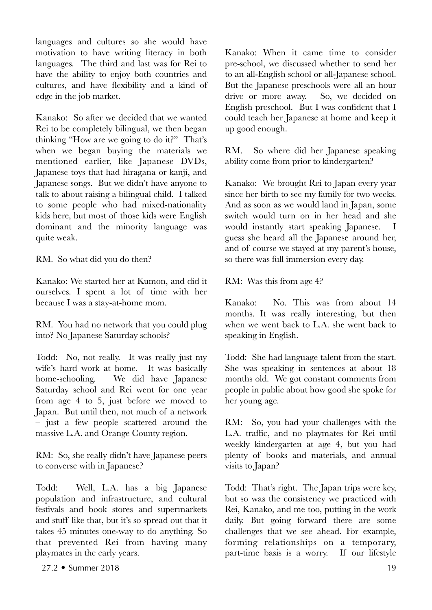languages and cultures so she would have motivation to have writing literacy in both languages. The third and last was for Rei to have the ability to enjoy both countries and cultures, and have flexibility and a kind of edge in the job market.

Kanako: So after we decided that we wanted Rei to be completely bilingual, we then began thinking "How are we going to do it?" That's when we began buying the materials we mentioned earlier, like Japanese DVDs, Japanese toys that had hiragana or kanji, and Japanese songs. But we didn't have anyone to talk to about raising a bilingual child. I talked to some people who had mixed-nationality kids here, but most of those kids were English dominant and the minority language was quite weak.

RM. So what did you do then?

Kanako: We started her at Kumon, and did it ourselves. I spent a lot of time with her because I was a stay-at-home mom.

RM. You had no network that you could plug into? No Japanese Saturday schools?

Todd: No, not really. It was really just my wife's hard work at home. It was basically home-schooling. We did have Japanese Saturday school and Rei went for one year from age 4 to 5, just before we moved to Japan. But until then, not much of a network – just a few people scattered around the massive L.A. and Orange County region.

RM: So, she really didn't have Japanese peers to converse with in Japanese?

Todd: Well, L.A. has a big Japanese population and infrastructure, and cultural festivals and book stores and supermarkets and stuff like that, but it's so spread out that it takes 45 minutes one-way to do anything. So that prevented Rei from having many playmates in the early years.

Kanako: When it came time to consider pre-school, we discussed whether to send her to an all-English school or all-Japanese school. But the Japanese preschools were all an hour drive or more away. So, we decided on English preschool. But I was confident that I could teach her Japanese at home and keep it up good enough.

RM. So where did her Japanese speaking ability come from prior to kindergarten?

Kanako: We brought Rei to Japan every year since her birth to see my family for two weeks. And as soon as we would land in Japan, some switch would turn on in her head and she would instantly start speaking Japanese. I guess she heard all the Japanese around her, and of course we stayed at my parent's house, so there was full immersion every day.

RM: Was this from age 4?

Kanako: No. This was from about 14 months. It was really interesting, but then when we went back to L.A. she went back to speaking in English.

Todd: She had language talent from the start. She was speaking in sentences at about 18 months old. We got constant comments from people in public about how good she spoke for her young age.

RM: So, you had your challenges with the L.A. traffic, and no playmates for Rei until weekly kindergarten at age 4, but you had plenty of books and materials, and annual visits to Japan?

Todd: That's right. The Japan trips were key, but so was the consistency we practiced with Rei, Kanako, and me too, putting in the work daily. But going forward there are some challenges that we see ahead. For example, forming relationships on a temporary, part-time basis is a worry. If our lifestyle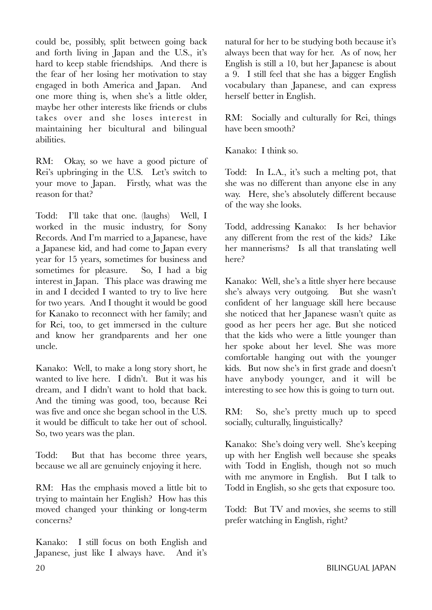could be, possibly, split between going back and forth living in Japan and the U.S., it's hard to keep stable friendships. And there is the fear of her losing her motivation to stay engaged in both America and Japan. And one more thing is, when she's a little older, maybe her other interests like friends or clubs takes over and she loses interest in maintaining her bicultural and bilingual abilities.

RM: Okay, so we have a good picture of Rei's upbringing in the U.S. Let's switch to your move to Japan. Firstly, what was the reason for that?

Todd: I'll take that one. (laughs) Well, I worked in the music industry, for Sony Records. And I'm married to a Japanese, have a Japanese kid, and had come to Japan every year for 15 years, sometimes for business and sometimes for pleasure. So, I had a big interest in Japan. This place was drawing me in and I decided I wanted to try to live here for two years. And I thought it would be good for Kanako to reconnect with her family; and for Rei, too, to get immersed in the culture and know her grandparents and her one uncle.

Kanako: Well, to make a long story short, he wanted to live here. I didn't. But it was his dream, and I didn't want to hold that back. And the timing was good, too, because Rei was five and once she began school in the U.S. it would be difficult to take her out of school. So, two years was the plan.

Todd: But that has become three years, because we all are genuinely enjoying it here.

RM: Has the emphasis moved a little bit to trying to maintain her English? How has this moved changed your thinking or long-term concerns?

Kanako: I still focus on both English and Japanese, just like I always have. And it's natural for her to be studying both because it's always been that way for her. As of now, her English is still a 10, but her Japanese is about a 9. I still feel that she has a bigger English vocabulary than Japanese, and can express herself better in English.

RM: Socially and culturally for Rei, things have been smooth?

Kanako: I think so.

Todd: In L.A., it's such a melting pot, that she was no different than anyone else in any way. Here, she's absolutely different because of the way she looks.

Todd, addressing Kanako: Is her behavior any different from the rest of the kids? Like her mannerisms? Is all that translating well here?

Kanako: Well, she's a little shyer here because she's always very outgoing. But she wasn't confident of her language skill here because she noticed that her Japanese wasn't quite as good as her peers her age. But she noticed that the kids who were a little younger than her spoke about her level. She was more comfortable hanging out with the younger kids. But now she's in first grade and doesn't have anybody younger, and it will be interesting to see how this is going to turn out.

RM: So, she's pretty much up to speed socially, culturally, linguistically?

Kanako: She's doing very well. She's keeping up with her English well because she speaks with Todd in English, though not so much with me anymore in English. But I talk to Todd in English, so she gets that exposure too.

Todd: But TV and movies, she seems to still prefer watching in English, right?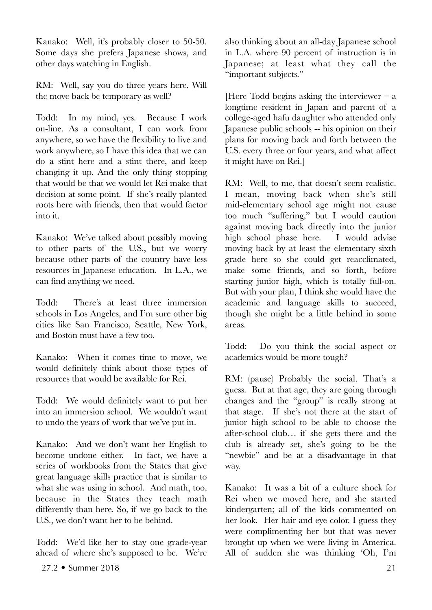Kanako: Well, it's probably closer to 50-50. Some days she prefers Japanese shows, and other days watching in English.

RM: Well, say you do three years here. Will the move back be temporary as well?

Todd: In my mind, yes. Because I work on-line. As a consultant, I can work from anywhere, so we have the flexibility to live and work anywhere, so I have this idea that we can do a stint here and a stint there, and keep changing it up. And the only thing stopping that would be that we would let Rei make that decision at some point. If she's really planted roots here with friends, then that would factor into it.

Kanako: We've talked about possibly moving to other parts of the U.S., but we worry because other parts of the country have less resources in Japanese education. In L.A., we can find anything we need.

Todd: There's at least three immersion schools in Los Angeles, and I'm sure other big cities like San Francisco, Seattle, New York, and Boston must have a few too.

Kanako: When it comes time to move, we would definitely think about those types of resources that would be available for Rei.

Todd: We would definitely want to put her into an immersion school. We wouldn't want to undo the years of work that we've put in.

Kanako: And we don't want her English to become undone either. In fact, we have a series of workbooks from the States that give great language skills practice that is similar to what she was using in school. And math, too, because in the States they teach math differently than here. So, if we go back to the U.S., we don't want her to be behind.

Todd: We'd like her to stay one grade-year ahead of where she's supposed to be. We're

also thinking about an all-day Japanese school in L.A. where 90 percent of instruction is in Japanese; at least what they call the "important subjects."

[Here Todd begins asking the interviewer  $-$  a longtime resident in Japan and parent of a college-aged hafu daughter who attended only Japanese public schools -- his opinion on their plans for moving back and forth between the U.S. every three or four years, and what affect it might have on Rei.]

RM: Well, to me, that doesn't seem realistic. I mean, moving back when she's still mid-elementary school age might not cause too much "suffering," but I would caution against moving back directly into the junior high school phase here. I would advise moving back by at least the elementary sixth grade here so she could get reacclimated, make some friends, and so forth, before starting junior high, which is totally full-on. But with your plan, I think she would have the academic and language skills to succeed, though she might be a little behind in some areas.

Todd: Do you think the social aspect or academics would be more tough?

RM: (pause) Probably the social. That's a guess. But at that age, they are going through changes and the "group" is really strong at that stage. If she's not there at the start of junior high school to be able to choose the after-school club… if she gets there and the club is already set, she's going to be the "newbie" and be at a disadvantage in that way.

Kanako: It was a bit of a culture shock for Rei when we moved here, and she started kindergarten; all of the kids commented on her look. Her hair and eye color. I guess they were complimenting her but that was never brought up when we were living in America. All of sudden she was thinking 'Oh, I'm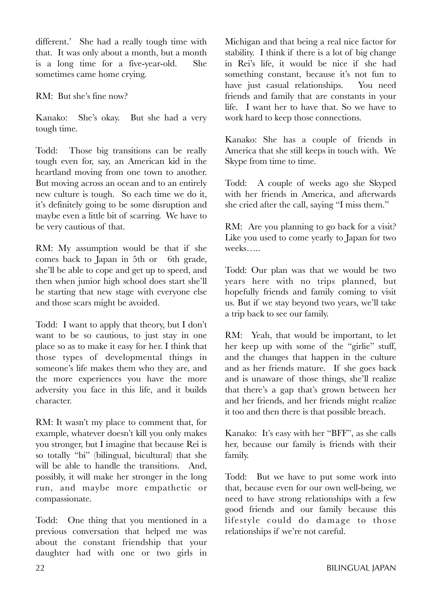different.' She had a really tough time with that. It was only about a month, but a month is a long time for a five-year-old. She sometimes came home crying.

RM: But she's fine now?

Kanako: She's okay. But she had a very tough time.

Todd: Those big transitions can be really tough even for, say, an American kid in the heartland moving from one town to another. But moving across an ocean and to an entirely new culture is tough. So each time we do it, it's definitely going to be some disruption and maybe even a little bit of scarring. We have to be very cautious of that.

RM: My assumption would be that if she comes back to Japan in 5th or 6th grade, she'll be able to cope and get up to speed, and then when junior high school does start she'll be starting that new stage with everyone else and those scars might be avoided.

Todd: I want to apply that theory, but I don't want to be so cautious, to just stay in one place so as to make it easy for her. I think that those types of developmental things in someone's life makes them who they are, and the more experiences you have the more adversity you face in this life, and it builds character.

RM: It wasn't my place to comment that, for example, whatever doesn't kill you only makes you stronger, but I imagine that because Rei is so totally "bi" (bilingual, bicultural) that she will be able to handle the transitions. And, possibly, it will make her stronger in the long run, and maybe more empathetic or compassionate.

Todd: One thing that you mentioned in a previous conversation that helped me was about the constant friendship that your daughter had with one or two girls in

Michigan and that being a real nice factor for stability. I think if there is a lot of big change in Rei's life, it would be nice if she had something constant, because it's not fun to have just casual relationships. You need friends and family that are constants in your life. I want her to have that. So we have to work hard to keep those connections.

Kanako: She has a couple of friends in America that she still keeps in touch with. We Skype from time to time.

Todd: A couple of weeks ago she Skyped with her friends in America, and afterwards she cried after the call, saying "I miss them."

RM: Are you planning to go back for a visit? Like you used to come yearly to Japan for two weeks…..

Todd: Our plan was that we would be two years here with no trips planned, but hopefully friends and family coming to visit us. But if we stay beyond two years, we'll take a trip back to see our family.

RM: Yeah, that would be important, to let her keep up with some of the "girlie" stuff, and the changes that happen in the culture and as her friends mature. If she goes back and is unaware of those things, she'll realize that there's a gap that's grown between her and her friends, and her friends might realize it too and then there is that possible breach.

Kanako: It's easy with her "BFF", as she calls her, because our family is friends with their family.

Todd: But we have to put some work into that, because even for our own well-being, we need to have strong relationships with a few good friends and our family because this lifestyle could do damage to those relationships if we're not careful.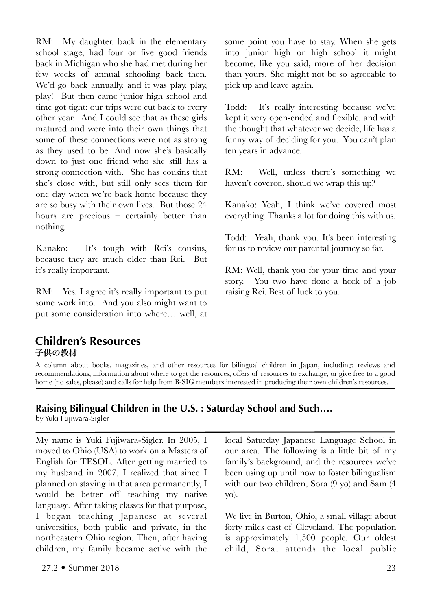RM: My daughter, back in the elementary school stage, had four or five good friends back in Michigan who she had met during her few weeks of annual schooling back then. We'd go back annually, and it was play, play, play! But then came junior high school and time got tight; our trips were cut back to every other year. And I could see that as these girls matured and were into their own things that some of these connections were not as strong as they used to be. And now she's basically down to just one friend who she still has a strong connection with. She has cousins that she's close with, but still only sees them for one day when we're back home because they are so busy with their own lives. But those 24 hours are precious – certainly better than nothing.

Kanako: It's tough with Rei's cousins, because they are much older than Rei. But it's really important.

RM: Yes, I agree it's really important to put some work into. And you also might want to put some consideration into where… well, at

some point you have to stay. When she gets into junior high or high school it might become, like you said, more of her decision than yours. She might not be so agreeable to pick up and leave again.

Todd: It's really interesting because we've kept it very open-ended and flexible, and with the thought that whatever we decide, life has a funny way of deciding for you. You can't plan ten years in advance.

RM: Well, unless there's something we haven't covered, should we wrap this up?

Kanako: Yeah, I think we've covered most everything. Thanks a lot for doing this with us.

Todd: Yeah, thank you. It's been interesting for us to review our parental journey so far.

RM: Well, thank you for your time and your story. You two have done a heck of a job raising Rei. Best of luck to you.

# **Children's Resources** 子供の教材

A column about books, magazines, and other resources for bilingual children in Japan, including: reviews and recommendations, information about where to get the resources, offers of resources to exchange, or give free to a good home (no sales, please) and calls for help from B-SIG members interested in producing their own children's resources.

# **Raising Bilingual Children in the U.S. : Saturday School and Such….**

by Yuki Fujiwara-Sigler

My name is Yuki Fujiwara-Sigler. In 2005, I moved to Ohio (USA) to work on a Masters of English for TESOL. After getting married to my husband in 2007, I realized that since I planned on staying in that area permanently, I would be better off teaching my native language. After taking classes for that purpose, I began teaching Japanese at several universities, both public and private, in the northeastern Ohio region. Then, after having children, my family became active with the

local Saturday Japanese Language School in our area. The following is a little bit of my family's background, and the resources we've been using up until now to foster bilingualism with our two children, Sora (9 yo) and Sam (4 yo).

We live in Burton, Ohio, a small village about forty miles east of Cleveland. The population is approximately 1,500 people. Our oldest child, Sora, attends the local public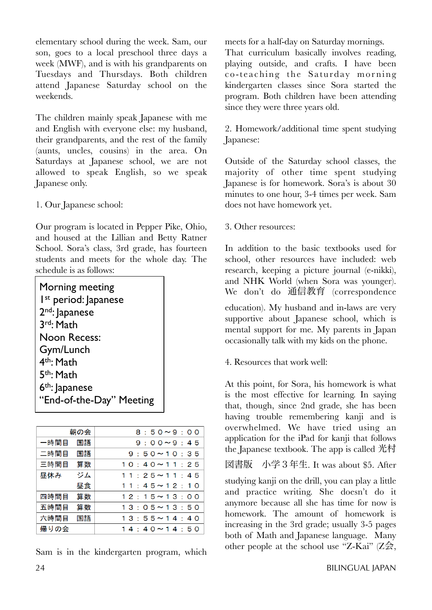elementary school during the week. Sam, our son, goes to a local preschool three days a week (MWF), and is with his grandparents on Tuesdays and Thursdays. Both children attend Japanese Saturday school on the weekends.

The children mainly speak Japanese with me and English with everyone else: my husband, their grandparents, and the rest of the family (aunts, uncles, cousins) in the area. On Saturdays at Japanese school, we are not allowed to speak English, so we speak Japanese only.

1. Our Japanese school:

Our program is located in Pepper Pike, Ohio, and housed at the Lillian and Betty Ratner School. Sora's class, 3rd grade, has fourteen students and meets for the whole day. The schedule is as follows:

| Morning meeting                  |
|----------------------------------|
| I <sup>st</sup> period: Japanese |
| 2 <sup>nd</sup> : Japanese       |
| 3rd: Math                        |
| Noon Recess:                     |
| Gym/Lunch                        |
| 4 <sup>th</sup> : Math           |
| 5th: Math                        |
| $6th$ : Japanese                 |
| "End-of-the-Day" Meeting         |

|      | 朝の会 | $8:50 \sim 9:00$     |
|------|-----|----------------------|
| 一時間目 | 国語  | $9:00 \sim 9:45$     |
| 二時間目 | 国語  | $9:50 \sim 10:35$    |
| 三時間目 | 算数  | $10:40 \sim 11:25$   |
| 昼休み  | ジム  | $11:25 \sim 11:45$   |
|      | 昼食  | $11:45 \sim 12:10$   |
| 四時間目 | 算数  | $12:15 \sim 13:00$   |
| 五時間目 | 算数  | $13:05 \sim 13:50$   |
| 六時間目 | 国語  | $13:55\!\sim\!14:40$ |
| 帰りの会 |     | $14:40 \sim 14:50$   |

Sam is in the kindergarten program, which

meets for a half-day on Saturday mornings. That curriculum basically involves reading, playing outside, and crafts. I have been co-teaching the Saturday morning kindergarten classes since Sora started the program. Both children have been attending since they were three years old.

2. Homework/additional time spent studying Japanese:

Outside of the Saturday school classes, the majority of other time spent studying Japanese is for homework. Sora's is about 30 minutes to one hour, 3-4 times per week. Sam does not have homework yet.

3. Other resources:

In addition to the basic textbooks used for school, other resources have included: web research, keeping a picture journal (e-nikki), and NHK World (when Sora was younger). We don't do 通信教育 (correspondence

education). My husband and in-laws are very supportive about Japanese school, which is mental support for me. My parents in Japan occasionally talk with my kids on the phone.

4. Resources that work well:

At this point, for Sora, his homework is what is the most effective for learning. In saying that, though, since 2nd grade, she has been having trouble remembering kanji and is overwhelmed. We have tried using an application for the iPad for kanji that follows the Japanese textbook. The app is called 光村

図書版 小学3年生. It was about \$5. After

studying kanji on the drill, you can play a little and practice writing. She doesn't do it anymore because all she has time for now is homework. The amount of homework is increasing in the 3rd grade; usually 3-5 pages both of Math and Japanese language. Many other people at the school use "Z-Kai" (Z会,